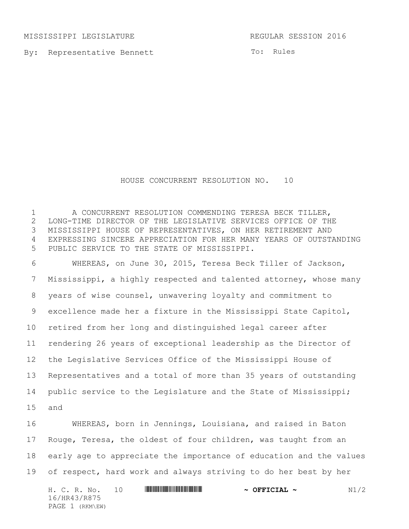MISSISSIPPI LEGISLATURE REGULAR SESSION 2016

By: Representative Bennett

To: Rules

## HOUSE CONCURRENT RESOLUTION NO. 10

1 A CONCURRENT RESOLUTION COMMENDING TERESA BECK TILLER, LONG-TIME DIRECTOR OF THE LEGISLATIVE SERVICES OFFICE OF THE MISSISSIPPI HOUSE OF REPRESENTATIVES, ON HER RETIREMENT AND EXPRESSING SINCERE APPRECIATION FOR HER MANY YEARS OF OUTSTANDING PUBLIC SERVICE TO THE STATE OF MISSISSIPPI. WHEREAS, on June 30, 2015, Teresa Beck Tiller of Jackson, Mississippi, a highly respected and talented attorney, whose many years of wise counsel, unwavering loyalty and commitment to

 excellence made her a fixture in the Mississippi State Capitol, retired from her long and distinguished legal career after rendering 26 years of exceptional leadership as the Director of the Legislative Services Office of the Mississippi House of Representatives and a total of more than 35 years of outstanding public service to the Legislature and the State of Mississippi; and

 WHEREAS, born in Jennings, Louisiana, and raised in Baton Rouge, Teresa, the oldest of four children, was taught from an early age to appreciate the importance of education and the values of respect, hard work and always striving to do her best by her

H. C. R. No. 10 \*HR43/R875\* **~ OFFICIAL ~** N1/2 16/HR43/R875 PAGE 1 (RKM\EW)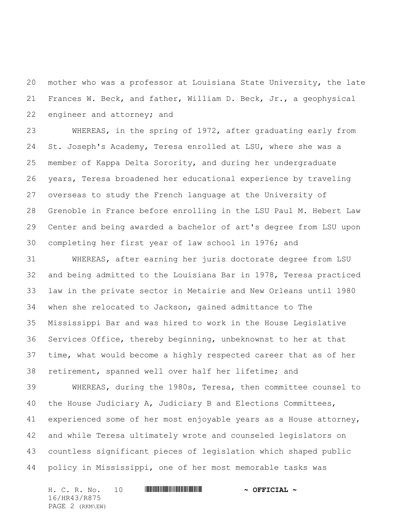mother who was a professor at Louisiana State University, the late Frances W. Beck, and father, William D. Beck, Jr., a geophysical engineer and attorney; and

 WHEREAS, in the spring of 1972, after graduating early from St. Joseph's Academy, Teresa enrolled at LSU, where she was a member of Kappa Delta Sorority, and during her undergraduate years, Teresa broadened her educational experience by traveling overseas to study the French language at the University of Grenoble in France before enrolling in the LSU Paul M. Hebert Law Center and being awarded a bachelor of art's degree from LSU upon completing her first year of law school in 1976; and

 WHEREAS, after earning her juris doctorate degree from LSU and being admitted to the Louisiana Bar in 1978, Teresa practiced law in the private sector in Metairie and New Orleans until 1980 when she relocated to Jackson, gained admittance to The Mississippi Bar and was hired to work in the House Legislative Services Office, thereby beginning, unbeknownst to her at that time, what would become a highly respected career that as of her retirement, spanned well over half her lifetime; and

 WHEREAS, during the 1980s, Teresa, then committee counsel to the House Judiciary A, Judiciary B and Elections Committees, experienced some of her most enjoyable years as a House attorney, and while Teresa ultimately wrote and counseled legislators on countless significant pieces of legislation which shaped public policy in Mississippi, one of her most memorable tasks was

H. C. R. No. 10 **. AND AND AN AND AN AND AN AND AN AND AN AND AN AND AN AND AN AN AND AN AN AN AN AN AN AN AN** 16/HR43/R875 PAGE 2 (RKM\EW)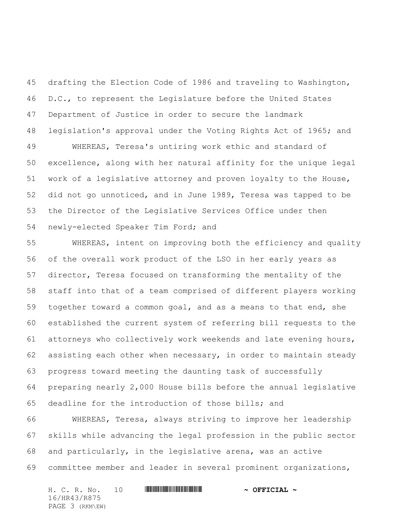drafting the Election Code of 1986 and traveling to Washington, 46 D.C., to represent the Legislature before the United States Department of Justice in order to secure the landmark legislation's approval under the Voting Rights Act of 1965; and WHEREAS, Teresa's untiring work ethic and standard of excellence, along with her natural affinity for the unique legal work of a legislative attorney and proven loyalty to the House, did not go unnoticed, and in June 1989, Teresa was tapped to be the Director of the Legislative Services Office under then newly-elected Speaker Tim Ford; and

 WHEREAS, intent on improving both the efficiency and quality of the overall work product of the LSO in her early years as director, Teresa focused on transforming the mentality of the staff into that of a team comprised of different players working together toward a common goal, and as a means to that end, she established the current system of referring bill requests to the attorneys who collectively work weekends and late evening hours, assisting each other when necessary, in order to maintain steady progress toward meeting the daunting task of successfully preparing nearly 2,000 House bills before the annual legislative deadline for the introduction of those bills; and

 WHEREAS, Teresa, always striving to improve her leadership skills while advancing the legal profession in the public sector and particularly, in the legislative arena, was an active committee member and leader in several prominent organizations,

H. C. R. No. 10 **. AND AND AN AND AN AND AN AND AN AND AN AND AN AND AN AND AN AN AND AN AN AN AN AN AN AN AN** 16/HR43/R875 PAGE 3 (RKM\EW)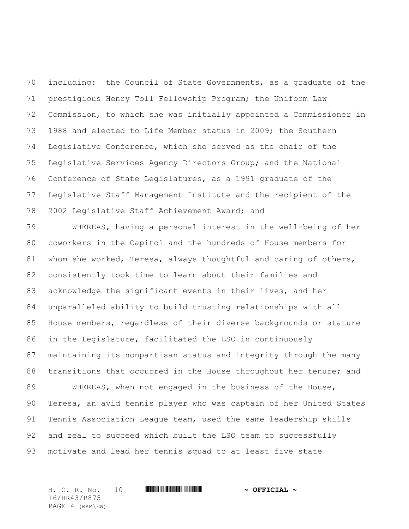including: the Council of State Governments, as a graduate of the prestigious Henry Toll Fellowship Program; the Uniform Law Commission, to which she was initially appointed a Commissioner in 1988 and elected to Life Member status in 2009; the Southern Legislative Conference, which she served as the chair of the Legislative Services Agency Directors Group; and the National Conference of State Legislatures, as a 1991 graduate of the Legislative Staff Management Institute and the recipient of the 2002 Legislative Staff Achievement Award; and

 WHEREAS, having a personal interest in the well-being of her coworkers in the Capitol and the hundreds of House members for whom she worked, Teresa, always thoughtful and caring of others, consistently took time to learn about their families and acknowledge the significant events in their lives, and her unparalleled ability to build trusting relationships with all House members, regardless of their diverse backgrounds or stature in the Legislature, facilitated the LSO in continuously maintaining its nonpartisan status and integrity through the many 88 transitions that occurred in the House throughout her tenure; and WHEREAS, when not engaged in the business of the House,

 Teresa, an avid tennis player who was captain of her United States Tennis Association League team, used the same leadership skills and zeal to succeed which built the LSO team to successfully motivate and lead her tennis squad to at least five state

H. C. R. No. 10 **. ANDER A SEPTIME A PROPERTION A** 16/HR43/R875 PAGE 4 (RKM\EW)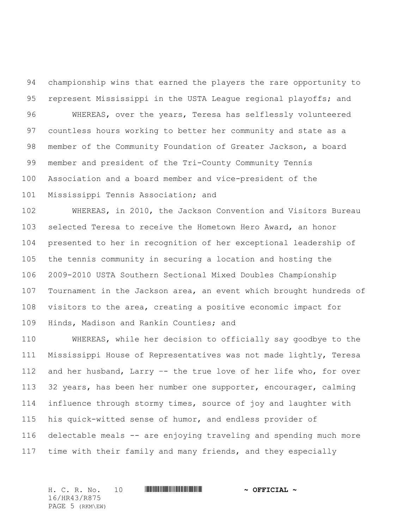championship wins that earned the players the rare opportunity to represent Mississippi in the USTA League regional playoffs; and WHEREAS, over the years, Teresa has selflessly volunteered countless hours working to better her community and state as a member of the Community Foundation of Greater Jackson, a board member and president of the Tri-County Community Tennis Association and a board member and vice-president of the Mississippi Tennis Association; and

 WHEREAS, in 2010, the Jackson Convention and Visitors Bureau selected Teresa to receive the Hometown Hero Award, an honor presented to her in recognition of her exceptional leadership of the tennis community in securing a location and hosting the 2009-2010 USTA Southern Sectional Mixed Doubles Championship Tournament in the Jackson area, an event which brought hundreds of visitors to the area, creating a positive economic impact for Hinds, Madison and Rankin Counties; and

 WHEREAS, while her decision to officially say goodbye to the Mississippi House of Representatives was not made lightly, Teresa and her husband, Larry –- the true love of her life who, for over 32 years, has been her number one supporter, encourager, calming influence through stormy times, source of joy and laughter with his quick-witted sense of humor, and endless provider of delectable meals -- are enjoying traveling and spending much more time with their family and many friends, and they especially

H. C. R. No. 10 **. AND AND AN AND AN AND AN AND AN AND AN AND AN AND AN AND AN AND AN AND AN AN AND AN AND AN** 16/HR43/R875 PAGE 5 (RKM\EW)